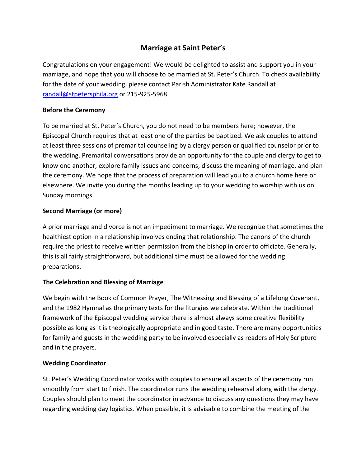# **Marriage at Saint Peter's**

Congratulations on your engagement! We would be delighted to assist and support you in your marriage, and hope that you will choose to be married at St. Peter's Church. To check availability for the date of your wedding, please contact Parish Administrator Kate Randall at randall@stpetersphila.org or 215-925-5968.

# **Before the Ceremony**

To be married at St. Peter's Church, you do not need to be members here; however, the Episcopal Church requires that at least one of the parties be baptized. We ask couples to attend at least three sessions of premarital counseling by a clergy person or qualified counselor prior to the wedding. Premarital conversations provide an opportunity for the couple and clergy to get to know one another, explore family issues and concerns, discuss the meaning of marriage, and plan the ceremony. We hope that the process of preparation will lead you to a church home here or elsewhere. We invite you during the months leading up to your wedding to worship with us on Sunday mornings.

# **Second Marriage (or more)**

A prior marriage and divorce is not an impediment to marriage. We recognize that sometimes the healthiest option in a relationship involves ending that relationship. The canons of the church require the priest to receive written permission from the bishop in order to officiate. Generally, this is all fairly straightforward, but additional time must be allowed for the wedding preparations.

## **The Celebration and Blessing of Marriage**

We begin with the Book of Common Prayer, The Witnessing and Blessing of a Lifelong Covenant, and the 1982 Hymnal as the primary texts for the liturgies we celebrate. Within the traditional framework of the Episcopal wedding service there is almost always some creative flexibility possible as long as it is theologically appropriate and in good taste. There are many opportunities for family and guests in the wedding party to be involved especially as readers of Holy Scripture and in the prayers.

## **Wedding Coordinator**

St. Peter's Wedding Coordinator works with couples to ensure all aspects of the ceremony run smoothly from start to finish. The coordinator runs the wedding rehearsal along with the clergy. Couples should plan to meet the coordinator in advance to discuss any questions they may have regarding wedding day logistics. When possible, it is advisable to combine the meeting of the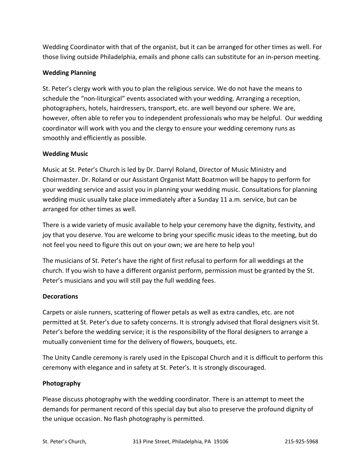Wedding Coordinator with that of the organist, but it can be arranged for other times as well. For those living outside Philadelphia, emails and phone calls can substitute for an in-person meeting.

# **Wedding Planning**

St. Peter's clergy work with you to plan the religious service. We do not have the means to schedule the "non-liturgical" events associated with your wedding. Arranging a reception, photographers, hotels, hairdressers, transport, etc. are well beyond our sphere. We are, however, often able to refer you to independent professionals who may be helpful. Our wedding coordinator will work with you and the clergy to ensure your wedding ceremony runs as smoothly and efficiently as possible.

# **Wedding Music**

Music at St. Peter's Church is led by Dr. Darryl Roland, Director of Music Ministry and Choirmaster. Dr. Roland or our Assistant Organist Matt Boatmon will be happy to perform for your wedding service and assist you in planning your wedding music. Consultations for planning wedding music usually take place immediately after a Sunday 11 a.m. service, but can be arranged for other times as well.

There is a wide variety of music available to help your ceremony have the dignity, festivity, and joy that you deserve. You are welcome to bring your specific music ideas to the meeting, but do not feel you need to figure this out on your own; we are here to help you!

The musicians of St. Peter's have the right of first refusal to perform for all weddings at the church. If you wish to have a different organist perform, permission must be granted by the St. Peter's musicians and you will still pay the full wedding fees.

## **Decorations**

Carpets or aisle runners, scattering of flower petals as well as extra candles, etc. are not permitted at St. Peter's due to safety concerns. It is strongly advised that floral designers visit St. Peter's before the wedding service; it is the responsibility of the floral designers to arrange a mutually convenient time for the delivery of flowers, bouquets, etc.

The Unity Candle ceremony is rarely used in the Episcopal Church and it is difficult to perform this ceremony with elegance and in safety at St. Peter's. It is strongly discouraged.

## **Photography**

Please discuss photography with the wedding coordinator. There is an attempt to meet the demands for permanent record of this special day but also to preserve the profound dignity of the unique occasion. No flash photography is permitted.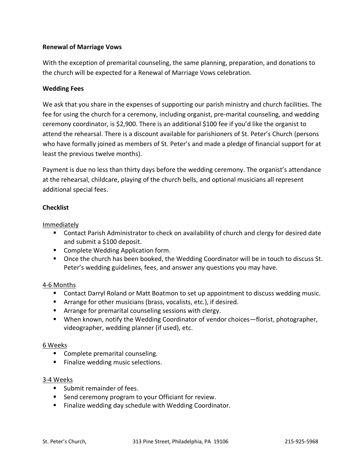# **Renewal of Marriage Vows**

With the exception of premarital counseling, the same planning, preparation, and donations to the church will be expected for a Renewal of Marriage Vows celebration.

## **Wedding Fees**

We ask that you share in the expenses of supporting our parish ministry and church facilities. The fee for using the church for a ceremony, including organist, pre-marital counseling, and wedding ceremony coordinator, is \$2,900. There is an additional \$100 fee if you'd like the organist to attend the rehearsal. There is a discount available for parishioners of St. Peter's Church (persons who have formally joined as members of St. Peter's and made a pledge of financial support for at least the previous twelve months).

Payment is due no less than thirty days before the wedding ceremony. The organist's attendance at the rehearsal, childcare, playing of the church bells, and optional musicians all represent additional special fees.

## **Checklist**

Immediately

- Contact Parish Administrator to check on availability of church and clergy for desired date and submit a \$100 deposit.
- Complete Wedding Application form.
- Once the church has been booked, the Wedding Coordinator will be in touch to discuss St. Peter's wedding guidelines, fees, and answer any questions you may have.

#### 4-6 Months

- Contact Darryl Roland or Matt Boatmon to set up appointment to discuss wedding music.
- Arrange for other musicians (brass, vocalists, etc.), if desired.
- Arrange for premarital counseling sessions with clergy.
- When known, notify the Wedding Coordinator of vendor choices—florist, photographer, videographer, wedding planner (if used), etc.

#### 6 Weeks

- Complete premarital counseling.
- Finalize wedding music selections.

#### 3-4 Weeks

- Submit remainder of fees.
- Send ceremony program to your Officiant for review.
- Finalize wedding day schedule with Wedding Coordinator.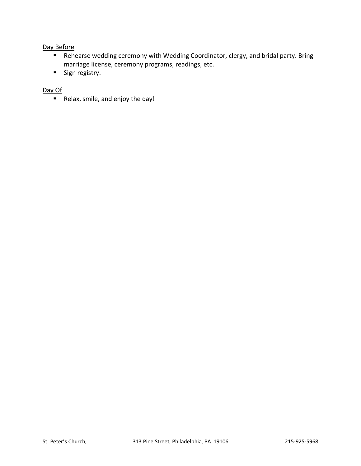# Day Before

- Rehearse wedding ceremony with Wedding Coordinator, clergy, and bridal party. Bring marriage license, ceremony programs, readings, etc.
- Sign registry.

## Day Of

■ Relax, smile, and enjoy the day!